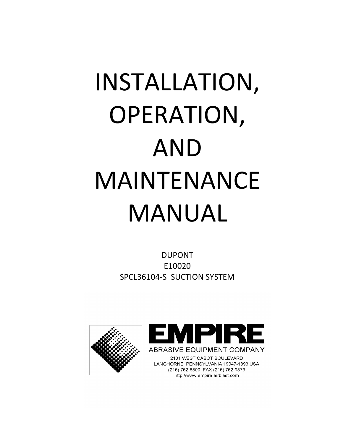# INSTALLATION, OPERATION, AND MAINTENANCE MANUAL

DUPONT E10020 SPCL36104-S SUCTION SYSTEM



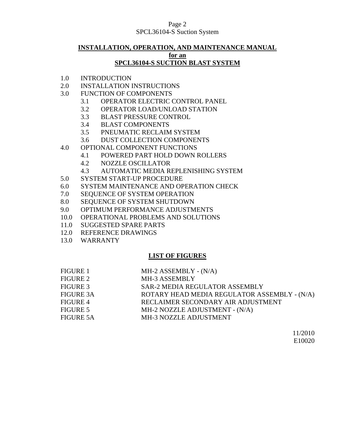### Page 2 SPCL36104-S Suction System

# **INSTALLATION, OPERATION, AND MAINTENANCE MANUAL for an SPCL36104-S SUCTION BLAST SYSTEM**

- 1.0 INTRODUCTION
- 2.0 INSTALLATION INSTRUCTIONS
- 3.0 FUNCTION OF COMPONENTS
	- 3.1 OPERATOR ELECTRIC CONTROL PANEL
	- 3.2 OPERATOR LOAD/UNLOAD STATION
	- 3.3 BLAST PRESSURE CONTROL
	- 3.4 BLAST COMPONENTS
	- 3.5 PNEUMATIC RECLAIM SYSTEM
	- 3.6 DUST COLLECTION COMPONENTS
- 4.0 OPTIONAL COMPONENT FUNCTIONS
	- 4.1 POWERED PART HOLD DOWN ROLLERS
	- 4.2 NOZZLE OSCILLATOR
	- 4.3 AUTOMATIC MEDIA REPLENISHING SYSTEM
- 5.0 SYSTEM START-UP PROCEDURE
- 6.0 SYSTEM MAINTENANCE AND OPERATION CHECK
- 7.0 SEQUENCE OF SYSTEM OPERATION
- 8.0 SEQUENCE OF SYSTEM SHUTDOWN
- 9.0 OPTIMUM PERFORMANCE ADJUSTMENTS
- 10.0 OPERATIONAL PROBLEMS AND SOLUTIONS
- 11.0 SUGGESTED SPARE PARTS
- 12.0 REFERENCE DRAWINGS
- 13.0 WARRANTY

# **LIST OF FIGURES**

| FIGURE 1         | $MH-2$ ASSEMBLY - $(N/A)$                    |
|------------------|----------------------------------------------|
| FIGURE 2         | MH-3 ASSEMBLY                                |
| FIGURE 3         | SAR-2 MEDIA REGULATOR ASSEMBLY               |
| <b>FIGURE 3A</b> | ROTARY HEAD MEDIA REGULATOR ASSEMBLY - (N/A) |
| FIGURE 4         | RECLAIMER SECONDARY AIR ADJUSTMENT           |
| FIGURE 5         | MH-2 NOZZLE ADJUSTMENT - (N/A)               |
| <b>FIGURE 5A</b> | MH-3 NOZZLE ADJUSTMENT                       |

11/2010 E10020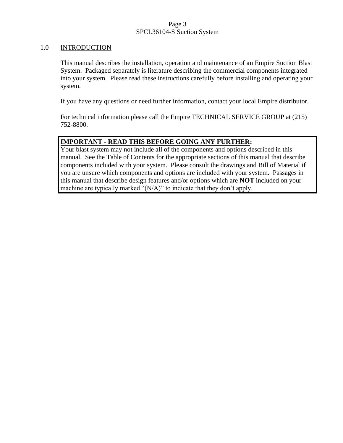### Page 3 SPCL36104-S Suction System

### 1.0 INTRODUCTION

This manual describes the installation, operation and maintenance of an Empire Suction Blast System. Packaged separately is literature describing the commercial components integrated into your system. Please read these instructions carefully before installing and operating your system.

If you have any questions or need further information, contact your local Empire distributor.

For technical information please call the Empire TECHNICAL SERVICE GROUP at (215) 752-8800.

# **IMPORTANT - READ THIS BEFORE GOING ANY FURTHER:**

Your blast system may not include all of the components and options described in this manual. See the Table of Contents for the appropriate sections of this manual that describe components included with your system. Please consult the drawings and Bill of Material if you are unsure which components and options are included with your system. Passages in this manual that describe design features and/or options which are **NOT** included on your machine are typically marked "(N/A)" to indicate that they don't apply.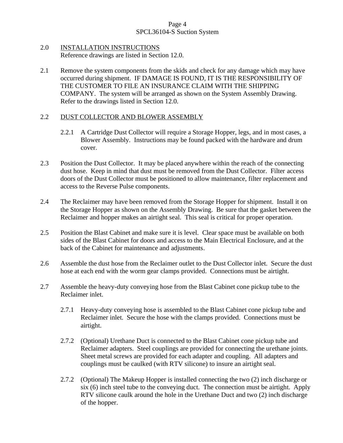# Page 4 SPCL36104-S Suction System

- 2.0 INSTALLATION INSTRUCTIONS Reference drawings are listed in Section 12.0.
- 2.1 Remove the system components from the skids and check for any damage which may have occurred during shipment. IF DAMAGE IS FOUND, IT IS THE RESPONSIBILITY OF THE CUSTOMER TO FILE AN INSURANCE CLAIM WITH THE SHIPPING COMPANY. The system will be arranged as shown on the System Assembly Drawing. Refer to the drawings listed in Section 12.0.

# 2.2 DUST COLLECTOR AND BLOWER ASSEMBLY

- 2.2.1 A Cartridge Dust Collector will require a Storage Hopper, legs, and in most cases, a Blower Assembly. Instructions may be found packed with the hardware and drum cover.
- 2.3 Position the Dust Collector. It may be placed anywhere within the reach of the connecting dust hose. Keep in mind that dust must be removed from the Dust Collector. Filter access doors of the Dust Collector must be positioned to allow maintenance, filter replacement and access to the Reverse Pulse components.
- 2.4 The Reclaimer may have been removed from the Storage Hopper for shipment. Install it on the Storage Hopper as shown on the Assembly Drawing. Be sure that the gasket between the Reclaimer and hopper makes an airtight seal. This seal is critical for proper operation.
- 2.5 Position the Blast Cabinet and make sure it is level. Clear space must be available on both sides of the Blast Cabinet for doors and access to the Main Electrical Enclosure, and at the back of the Cabinet for maintenance and adjustments.
- 2.6 Assemble the dust hose from the Reclaimer outlet to the Dust Collector inlet. Secure the dust hose at each end with the worm gear clamps provided. Connections must be airtight.
- 2.7 Assemble the heavy-duty conveying hose from the Blast Cabinet cone pickup tube to the Reclaimer inlet.
	- 2.7.1 Heavy-duty conveying hose is assembled to the Blast Cabinet cone pickup tube and Reclaimer inlet. Secure the hose with the clamps provided. Connections must be airtight.
	- 2.7.2 (Optional) Urethane Duct is connected to the Blast Cabinet cone pickup tube and Reclaimer adapters. Steel couplings are provided for connecting the urethane joints. Sheet metal screws are provided for each adapter and coupling. All adapters and couplings must be caulked (with RTV silicone) to insure an airtight seal.
	- 2.7.2 (Optional) The Makeup Hopper is installed connecting the two (2) inch discharge or six (6) inch steel tube to the conveying duct. The connection must be airtight. Apply RTV silicone caulk around the hole in the Urethane Duct and two (2) inch discharge of the hopper.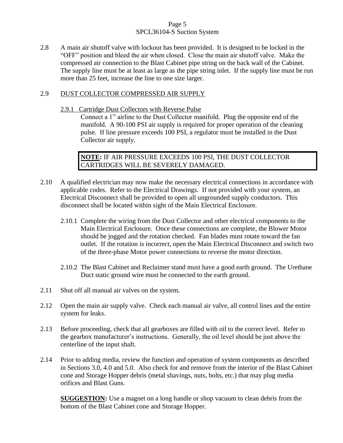# Page 5 SPCL36104-S Suction System

2.8 A main air shutoff valve with lockout has been provided. It is designed to be locked in the "OFF" position and bleed the air when closed. Close the main air shutoff valve. Make the compressed air connection to the Blast Cabinet pipe string on the back wall of the Cabinet. The supply line must be at least as large as the pipe string inlet. If the supply line must be run more than 25 feet, increase the line to one size larger.

# 2.9 DUST COLLECTOR COMPRESSED AIR SUPPLY

2.9.1 Cartridge Dust Collectors with Reverse Pulse

Connect a 1" airline to the Dust Collector manifold. Plug the opposite end of the manifold. A 90-100 PSI air supply is required for proper operation of the cleaning pulse. If line pressure exceeds 100 PSI, a regulator must be installed in the Dust Collector air supply.

**NOTE:** IF AIR PRESSURE EXCEEDS 100 PSI, THE DUST COLLECTOR CARTRIDGES WILL BE SEVERELY DAMAGED.

- 2.10 A qualified electrician may now make the necessary electrical connections in accordance with applicable codes. Refer to the Electrical Drawings. If not provided with your system, an Electrical Disconnect shall be provided to open all ungrounded supply conductors. This disconnect shall be located within sight of the Main Electrical Enclosure.
	- 2.10.1 Complete the wiring from the Dust Collector and other electrical components to the Main Electrical Enclosure. Once these connections are complete, the Blower Motor should be jogged and the rotation checked. Fan blades must rotate toward the fan outlet. If the rotation is incorrect, open the Main Electrical Disconnect and switch two of the three-phase Motor power connections to reverse the motor direction.
	- 2.10.2 The Blast Cabinet and Reclaimer stand must have a good earth ground. The Urethane Duct static ground wire must be connected to the earth ground.
- 2.11 Shut off all manual air valves on the system.
- 2.12 Open the main air supply valve. Check each manual air valve, all control lines and the entire system for leaks.
- 2.13 Before proceeding, check that all gearboxes are filled with oil to the correct level. Refer to the gearbox manufacturer's instructions. Generally, the oil level should be just above the centerline of the input shaft.
- 2.14 Prior to adding media, review the function and operation of system components as described in Sections 3.0, 4.0 and 5.0. Also check for and remove from the interior of the Blast Cabinet cone and Storage Hopper debris (metal shavings, nuts, bolts, etc.) that may plug media orifices and Blast Guns.

**SUGGESTION:** Use a magnet on a long handle or shop vacuum to clean debris from the bottom of the Blast Cabinet cone and Storage Hopper.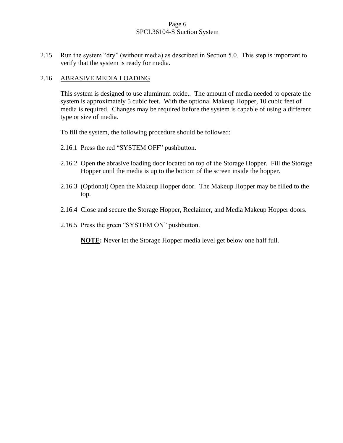# Page 6 SPCL36104-S Suction System

2.15 Run the system "dry" (without media) as described in Section 5.0. This step is important to verify that the system is ready for media.

# 2.16 ABRASIVE MEDIA LOADING

This system is designed to use aluminum oxide.. The amount of media needed to operate the system is approximately 5 cubic feet. With the optional Makeup Hopper, 10 cubic feet of media is required. Changes may be required before the system is capable of using a different type or size of media.

To fill the system, the following procedure should be followed:

- 2.16.1 Press the red "SYSTEM OFF" pushbutton.
- 2.16.2 Open the abrasive loading door located on top of the Storage Hopper. Fill the Storage Hopper until the media is up to the bottom of the screen inside the hopper.
- 2.16.3 (Optional) Open the Makeup Hopper door. The Makeup Hopper may be filled to the top.
- 2.16.4 Close and secure the Storage Hopper, Reclaimer, and Media Makeup Hopper doors.
- 2.16.5 Press the green "SYSTEM ON" pushbutton.

**NOTE:** Never let the Storage Hopper media level get below one half full.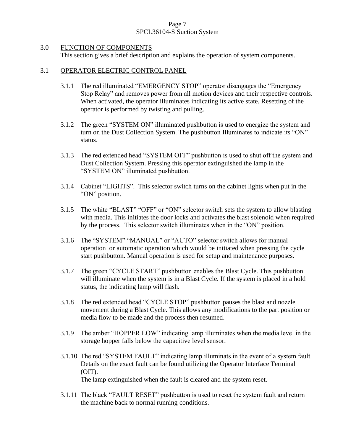# Page 7 SPCL36104-S Suction System

### 3.0 FUNCTION OF COMPONENTS

This section gives a brief description and explains the operation of system components.

# 3.1 OPERATOR ELECTRIC CONTROL PANEL

- 3.1.1 The red illuminated "EMERGENCY STOP" operator disengages the "Emergency Stop Relay" and removes power from all motion devices and their respective controls. When activated, the operator illuminates indicating its active state. Resetting of the operator is performed by twisting and pulling.
- 3.1.2 The green "SYSTEM ON" illuminated pushbutton is used to energize the system and turn on the Dust Collection System. The pushbutton Illuminates to indicate its "ON" status.
- 3.1.3 The red extended head "SYSTEM OFF" pushbutton is used to shut off the system and Dust Collection System. Pressing this operator extinguished the lamp in the "SYSTEM ON" illuminated pushbutton.
- 3.1.4 Cabinet "LIGHTS". This selector switch turns on the cabinet lights when put in the "ON" position.
- 3.1.5 The white "BLAST" "OFF" or "ON" selector switch sets the system to allow blasting with media. This initiates the door locks and activates the blast solenoid when required by the process. This selector switch illuminates when in the "ON" position.
- 3.1.6 The "SYSTEM" "MANUAL" or "AUTO" selector switch allows for manual operation or automatic operation which would be initiated when pressing the cycle start pushbutton. Manual operation is used for setup and maintenance purposes.
- 3.1.7 The green "CYCLE START" pushbutton enables the Blast Cycle. This pushbutton will illuminate when the system is in a Blast Cycle. If the system is placed in a hold status, the indicating lamp will flash.
- 3.1.8 The red extended head "CYCLE STOP" pushbutton pauses the blast and nozzle movement during a Blast Cycle. This allows any modifications to the part position or media flow to be made and the process then resumed.
- 3.1.9 The amber "HOPPER LOW" indicating lamp illuminates when the media level in the storage hopper falls below the capacitive level sensor.
- 3.1.10 The red "SYSTEM FAULT" indicating lamp illuminats in the event of a system fault. Details on the exact fault can be found utilizing the Operator Interface Terminal (OIT). The lamp extinguished when the fault is cleared and the system reset.
- 3.1.11 The black "FAULT RESET" pushbutton is used to reset the system fault and return the machine back to normal running conditions.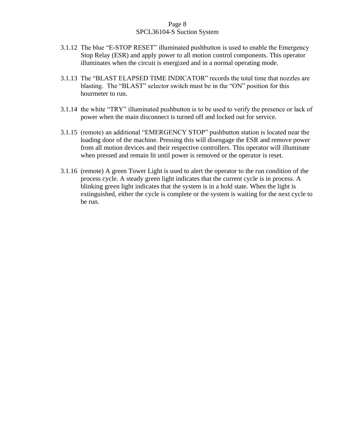# Page 8 SPCL36104-S Suction System

- 3.1.12 The blue "E-STOP RESET" illuminated pushbutton is used to enable the Emergency Stop Relay (ESR) and apply power to all motion control components. This operator illuminates when the circuit is energized and in a normal operating mode.
- 3.1.13 The "BLAST ELAPSED TIME INDICATOR" records the total time that nozzles are blasting. The "BLAST" selector switch must be in the "ON" position for this hourmeter to run.
- 3.1.14 the white "TRY" illuminated pushbutton is to be used to verify the presence or lack of power when the main disconnect is turned off and locked out for service.
- 3.1.15 (remote) an additional "EMERGENCY STOP" pushbutton station is located near the loading door of the machine. Pressing this will disengage the ESR and remove power from all motion devices and their respective controllers. This operator will illuminate when pressed and remain lit until power is removed or the operator is reset.
- 3.1.16 (remote) A green Tower Light is used to alert the operator to the run condition of the process cycle. A steady green light indicates that the current cycle is in process. A blinking green light indicates that the system is in a hold state. When the light is extinguished, either the cycle is complete or the system is waiting for the next cycle to be run.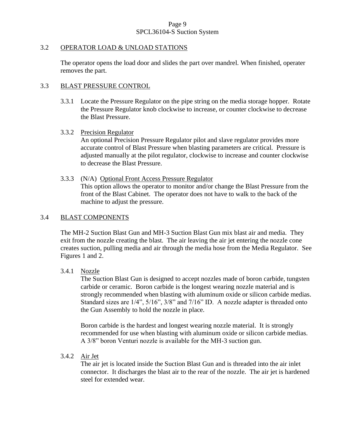# Page 9 SPCL36104-S Suction System

### 3.2 OPERATOR LOAD & UNLOAD STATIONS

The operator opens the load door and slides the part over mandrel. When finished, operater removes the part.

# 3.3 BLAST PRESSURE CONTROL

3.3.1 Locate the Pressure Regulator on the pipe string on the media storage hopper. Rotate the Pressure Regulator knob clockwise to increase, or counter clockwise to decrease the Blast Pressure.

### 3.3.2 Precision Regulator

An optional Precision Pressure Regulator pilot and slave regulator provides more accurate control of Blast Pressure when blasting parameters are critical. Pressure is adjusted manually at the pilot regulator, clockwise to increase and counter clockwise to decrease the Blast Pressure.

3.3.3 (N/A) Optional Front Access Pressure Regulator This option allows the operator to monitor and/or change the Blast Pressure from the front of the Blast Cabinet. The operator does not have to walk to the back of the machine to adjust the pressure.

### 3.4 BLAST COMPONENTS

The MH-2 Suction Blast Gun and MH-3 Suction Blast Gun mix blast air and media. They exit from the nozzle creating the blast. The air leaving the air jet entering the nozzle cone creates suction, pulling media and air through the media hose from the Media Regulator. See Figures 1 and 2.

# 3.4.1 Nozzle

The Suction Blast Gun is designed to accept nozzles made of boron carbide, tungsten carbide or ceramic. Boron carbide is the longest wearing nozzle material and is strongly recommended when blasting with aluminum oxide or silicon carbide medias. Standard sizes are 1/4", 5/16", 3/8" and 7/16" ID. A nozzle adapter is threaded onto the Gun Assembly to hold the nozzle in place.

Boron carbide is the hardest and longest wearing nozzle material. It is strongly recommended for use when blasting with aluminum oxide or silicon carbide medias. A 3/8" boron Venturi nozzle is available for the MH-3 suction gun.

3.4.2 Air Jet

The air jet is located inside the Suction Blast Gun and is threaded into the air inlet connector. It discharges the blast air to the rear of the nozzle. The air jet is hardened steel for extended wear.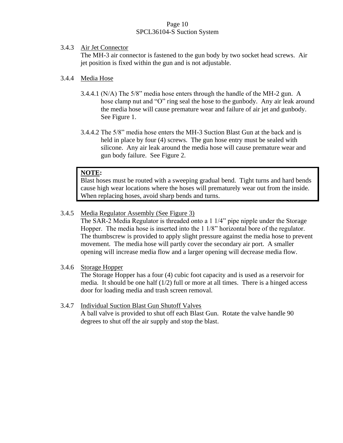# Page 10 SPCL36104-S Suction System

# 3.4.3 Air Jet Connector

The MH-3 air connector is fastened to the gun body by two socket head screws. Air jet position is fixed within the gun and is not adjustable.

# 3.4.4 Media Hose

- 3.4.4.1 (N/A) The 5/8" media hose enters through the handle of the MH-2 gun. A hose clamp nut and "O" ring seal the hose to the gunbody. Any air leak around the media hose will cause premature wear and failure of air jet and gunbody. See Figure 1.
- 3.4.4.2 The 5/8" media hose enters the MH-3 Suction Blast Gun at the back and is held in place by four (4) screws. The gun hose entry must be sealed with silicone. Any air leak around the media hose will cause premature wear and gun body failure. See Figure 2.

# **NOTE:**

Blast hoses must be routed with a sweeping gradual bend. Tight turns and hard bends cause high wear locations where the hoses will prematurely wear out from the inside. When replacing hoses, avoid sharp bends and turns.

# 3.4.5 Media Regulator Assembly (See Figure 3)

The SAR-2 Media Regulator is threaded onto a 1 1/4" pipe nipple under the Storage Hopper. The media hose is inserted into the 1 1/8" horizontal bore of the regulator. The thumbscrew is provided to apply slight pressure against the media hose to prevent movement. The media hose will partly cover the secondary air port. A smaller opening will increase media flow and a larger opening will decrease media flow.

# 3.4.6 Storage Hopper

The Storage Hopper has a four (4) cubic foot capacity and is used as a reservoir for media. It should be one half  $(1/2)$  full or more at all times. There is a hinged access door for loading media and trash screen removal.

# 3.4.7 Individual Suction Blast Gun Shutoff Valves

A ball valve is provided to shut off each Blast Gun. Rotate the valve handle 90 degrees to shut off the air supply and stop the blast.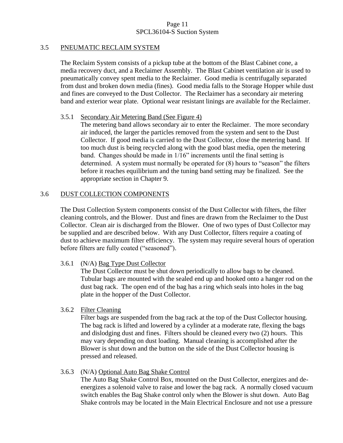# Page 11 SPCL36104-S Suction System

# 3.5 PNEUMATIC RECLAIM SYSTEM

The Reclaim System consists of a pickup tube at the bottom of the Blast Cabinet cone, a media recovery duct, and a Reclaimer Assembly. The Blast Cabinet ventilation air is used to pneumatically convey spent media to the Reclaimer. Good media is centrifugally separated from dust and broken down media (fines). Good media falls to the Storage Hopper while dust and fines are conveyed to the Dust Collector. The Reclaimer has a secondary air metering band and exterior wear plate. Optional wear resistant linings are available for the Reclaimer.

# 3.5.1 Secondary Air Metering Band (See Figure 4)

The metering band allows secondary air to enter the Reclaimer. The more secondary air induced, the larger the particles removed from the system and sent to the Dust Collector. If good media is carried to the Dust Collector, close the metering band. If too much dust is being recycled along with the good blast media, open the metering band. Changes should be made in 1/16" increments until the final setting is determined. A system must normally be operated for (8) hours to "season" the filters before it reaches equilibrium and the tuning band setting may be finalized. See the appropriate section in Chapter 9.

# 3.6 DUST COLLECTION COMPONENTS

The Dust Collection System components consist of the Dust Collector with filters, the filter cleaning controls, and the Blower. Dust and fines are drawn from the Reclaimer to the Dust Collector. Clean air is discharged from the Blower. One of two types of Dust Collector may be supplied and are described below. With any Dust Collector, filters require a coating of dust to achieve maximum filter efficiency. The system may require several hours of operation before filters are fully coated ("seasoned").

# 3.6.1 (N/A) Bag Type Dust Collector

The Dust Collector must be shut down periodically to allow bags to be cleaned. Tubular bags are mounted with the sealed end up and hooked onto a hanger rod on the dust bag rack. The open end of the bag has a ring which seals into holes in the bag plate in the hopper of the Dust Collector.

# 3.6.2 Filter Cleaning

Filter bags are suspended from the bag rack at the top of the Dust Collector housing. The bag rack is lifted and lowered by a cylinder at a moderate rate, flexing the bags and dislodging dust and fines. Filters should be cleaned every two (2) hours. This may vary depending on dust loading. Manual cleaning is accomplished after the Blower is shut down and the button on the side of the Dust Collector housing is pressed and released.

# 3.6.3 (N/A) Optional Auto Bag Shake Control

The Auto Bag Shake Control Box, mounted on the Dust Collector, energizes and deenergizes a solenoid valve to raise and lower the bag rack. A normally closed vacuum switch enables the Bag Shake control only when the Blower is shut down. Auto Bag Shake controls may be located in the Main Electrical Enclosure and not use a pressure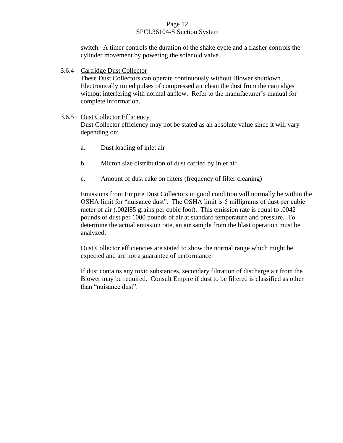# Page 12 SPCL36104-S Suction System

switch. A timer controls the duration of the shake cycle and a flasher controls the cylinder movement by powering the solenoid valve.

3.6.4 Cartridge Dust Collector

These Dust Collectors can operate continuously without Blower shutdown. Electronically timed pulses of compressed air clean the dust from the cartridges without interfering with normal airflow. Refer to the manufacturer's manual for complete information.

# 3.6.5 Dust Collector Efficiency

Dust Collector efficiency may not be stated as an absolute value since it will vary depending on:

- a. Dust loading of inlet air
- b. Micron size distribution of dust carried by inlet air
- c. Amount of dust cake on filters (frequency of filter cleaning)

Emissions from Empire Dust Collectors in good condition will normally be within the OSHA limit for "nuisance dust". The OSHA limit is 5 milligrams of dust per cubic meter of air (.002l85 grains per cubic foot). This emission rate is equal to .0042 pounds of dust per 1000 pounds of air at standard temperature and pressure. To determine the actual emission rate, an air sample from the blast operation must be analyzed.

Dust Collector efficiencies are stated to show the normal range which might be expected and are not a guarantee of performance.

If dust contains any toxic substances, secondary filtration of discharge air from the Blower may be required. Consult Empire if dust to be filtered is classified as other than "nuisance dust".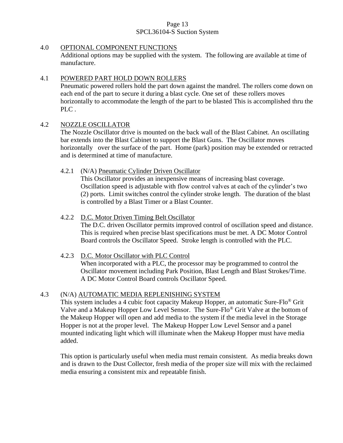# Page 13 SPCL36104-S Suction System

# 4.0 OPTIONAL COMPONENT FUNCTIONS

Additional options may be supplied with the system. The following are available at time of manufacture.

# 4.1 POWERED PART HOLD DOWN ROLLERS

Pneumatic powered rollers hold the part down against the mandrel. The rollers come down on each end of the part to secure it during a blast cycle. One set of these rollers moves horizontally to accommodate the length of the part to be blasted This is accomplished thru the PLC.

# 4.2 NOZZLE OSCILLATOR

The Nozzle Oscillator drive is mounted on the back wall of the Blast Cabinet. An oscillating bar extends into the Blast Cabinet to support the Blast Guns. The Oscillator moves horizontally over the surface of the part. Home (park) position may be extended or retracted and is determined at time of manufacture.

# 4.2.1 (N/A) Pneumatic Cylinder Driven Oscillator

This Oscillator provides an inexpensive means of increasing blast coverage. Oscillation speed is adjustable with flow control valves at each of the cylinder's two (2) ports. Limit switches control the cylinder stroke length. The duration of the blast is controlled by a Blast Timer or a Blast Counter.

# 4.2.2 D.C. Motor Driven Timing Belt Oscillator

The D.C. driven Oscillator permits improved control of oscillation speed and distance. This is required when precise blast specifications must be met. A DC Motor Control Board controls the Oscillator Speed. Stroke length is controlled with the PLC.

# 4.2.3 D.C. Motor Oscillator with PLC Control

When incorporated with a PLC, the processor may be programmed to control the Oscillator movement including Park Position, Blast Length and Blast Strokes/Time. A DC Motor Control Board controls Oscillator Speed.

# 4.3 (N/A) AUTOMATIC MEDIA REPLENISHING SYSTEM

This system includes a 4 cubic foot capacity Makeup Hopper, an automatic Sure-Flo® Grit Valve and a Makeup Hopper Low Level Sensor. The Sure-Flo® Grit Valve at the bottom of the Makeup Hopper will open and add media to the system if the media level in the Storage Hopper is not at the proper level. The Makeup Hopper Low Level Sensor and a panel mounted indicating light which will illuminate when the Makeup Hopper must have media added.

This option is particularly useful when media must remain consistent. As media breaks down and is drawn to the Dust Collector, fresh media of the proper size will mix with the reclaimed media ensuring a consistent mix and repeatable finish.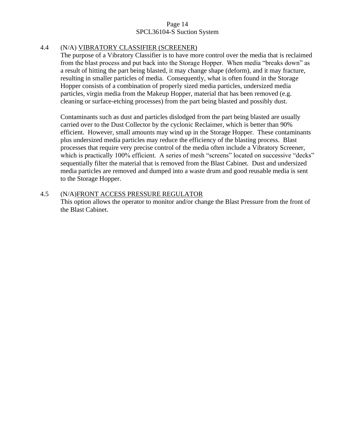# Page 14 SPCL36104-S Suction System

# 4.4 (N/A) VIBRATORY CLASSIFIER (SCREENER)

The purpose of a Vibratory Classifier is to have more control over the media that is reclaimed from the blast process and put back into the Storage Hopper. When media "breaks down" as a result of hitting the part being blasted, it may change shape (deform), and it may fracture, resulting in smaller particles of media. Consequently, what is often found in the Storage Hopper consists of a combination of properly sized media particles, undersized media particles, virgin media from the Makeup Hopper, material that has been removed (e.g. cleaning or surface-etching processes) from the part being blasted and possibly dust.

Contaminants such as dust and particles dislodged from the part being blasted are usually carried over to the Dust Collector by the cyclonic Reclaimer, which is better than 90% efficient. However, small amounts may wind up in the Storage Hopper. These contaminants plus undersized media particles may reduce the efficiency of the blasting process. Blast processes that require very precise control of the media often include a Vibratory Screener, which is practically 100% efficient. A series of mesh "screens" located on successive "decks" sequentially filter the material that is removed from the Blast Cabinet. Dust and undersized media particles are removed and dumped into a waste drum and good reusable media is sent to the Storage Hopper.

### 4.5 (N/A)FRONT ACCESS PRESSURE REGULATOR This option allows the operator to monitor and/or change the Blast Pressure from the front of the Blast Cabinet.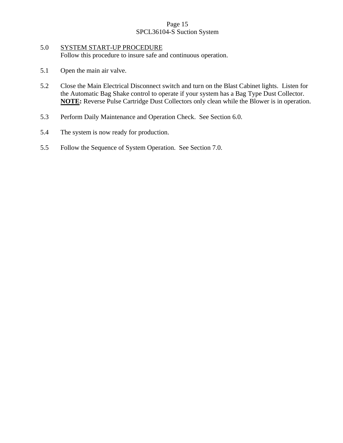# Page 15 SPCL36104-S Suction System

# 5.0 SYSTEM START-UP PROCEDURE Follow this procedure to insure safe and continuous operation.

- 5.1 Open the main air valve.
- 5.2 Close the Main Electrical Disconnect switch and turn on the Blast Cabinet lights. Listen for the Automatic Bag Shake control to operate if your system has a Bag Type Dust Collector. **NOTE:** Reverse Pulse Cartridge Dust Collectors only clean while the Blower is in operation.
- 5.3 Perform Daily Maintenance and Operation Check. See Section 6.0.
- 5.4 The system is now ready for production.
- 5.5 Follow the Sequence of System Operation. See Section 7.0.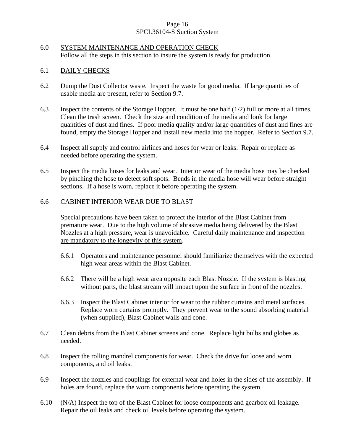# Page 16 SPCL36104-S Suction System

# 6.0 SYSTEM MAINTENANCE AND OPERATION CHECK Follow all the steps in this section to insure the system is ready for production.

# 6.1 DAILY CHECKS

- 6.2 Dump the Dust Collector waste. Inspect the waste for good media. If large quantities of usable media are present, refer to Section 9.7.
- 6.3 Inspect the contents of the Storage Hopper. It must be one half (1/2) full or more at all times. Clean the trash screen. Check the size and condition of the media and look for large quantities of dust and fines. If poor media quality and/or large quantities of dust and fines are found, empty the Storage Hopper and install new media into the hopper. Refer to Section 9.7.
- 6.4 Inspect all supply and control airlines and hoses for wear or leaks. Repair or replace as needed before operating the system.
- 6.5 Inspect the media hoses for leaks and wear. Interior wear of the media hose may be checked by pinching the hose to detect soft spots. Bends in the media hose will wear before straight sections. If a hose is worn, replace it before operating the system.

# 6.6 CABINET INTERIOR WEAR DUE TO BLAST

Special precautions have been taken to protect the interior of the Blast Cabinet from premature wear. Due to the high volume of abrasive media being delivered by the Blast Nozzles at a high pressure, wear is unavoidable. Careful daily maintenance and inspection are mandatory to the longevity of this system.

- 6.6.1 Operators and maintenance personnel should familiarize themselves with the expected high wear areas within the Blast Cabinet.
- 6.6.2 There will be a high wear area opposite each Blast Nozzle. If the system is blasting without parts, the blast stream will impact upon the surface in front of the nozzles.
- 6.6.3 Inspect the Blast Cabinet interior for wear to the rubber curtains and metal surfaces. Replace worn curtains promptly. They prevent wear to the sound absorbing material (when supplied), Blast Cabinet walls and cone.
- 6.7 Clean debris from the Blast Cabinet screens and cone. Replace light bulbs and globes as needed.
- 6.8 Inspect the rolling mandrel components for wear. Check the drive for loose and worn components, and oil leaks.
- 6.9 Inspect the nozzles and couplings for external wear and holes in the sides of the assembly. If holes are found, replace the worn components before operating the system.
- 6.10 (N/A) Inspect the top of the Blast Cabinet for loose components and gearbox oil leakage. Repair the oil leaks and check oil levels before operating the system.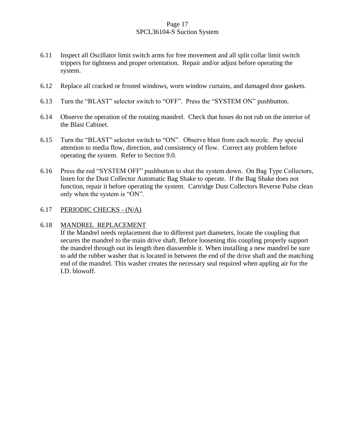# Page 17 SPCL36104-S Suction System

- 6.11 Inspect all Oscillator limit switch arms for free movement and all split collar limit switch trippers for tightness and proper orientation. Repair and/or adjust before operating the system.
- 6.12 Replace all cracked or frosted windows, worn window curtains, and damaged door gaskets.
- 6.13 Turn the "BLAST" selector switch to "OFF". Press the "SYSTEM ON" pushbutton.
- 6.14 Observe the operation of the rotating mandrel. Check that hoses do not rub on the interior of the Blast Cabinet.
- 6.15 Turn the "BLAST" selector switch to "ON". Observe blast from each nozzle. Pay special attention to media flow, direction, and consistency of flow. Correct any problem before operating the system. Refer to Section 9.0.
- 6.16 Press the red "SYSTEM OFF" pushbutton to shut the system down. On Bag Type Collectors, listen for the Dust Collector Automatic Bag Shake to operate. If the Bag Shake does not function, repair it before operating the system. Cartridge Dust Collectors Reverse Pulse clean only when the system is "ON".

# 6.17 PERIODIC CHECKS - (N/A)

# 6.18 MANDREL REPLACEMENT

If the Mandrel needs replacement due to different part diameters, locate the coupling that secures the mandrel to the main drive shaft. Before loosening this coupling properly support the mandrel through out its length then diassemble it. When installing a new mandrel be sure to add the rubber washer that is located in between the end of the drive shaft and the matching end of the mandrel. This washer creates the necessary seal required when appling air for the I.D. blowoff.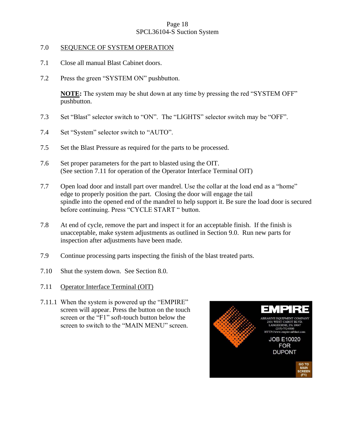# Page 18 SPCL36104-S Suction System

### 7.0 SEQUENCE OF SYSTEM OPERATION

- 7.1 Close all manual Blast Cabinet doors.
- 7.2 Press the green "SYSTEM ON" pushbutton.

**NOTE:** The system may be shut down at any time by pressing the red "SYSTEM OFF" pushbutton.

- 7.3 Set "Blast" selector switch to "ON". The "LIGHTS" selector switch may be "OFF".
- 7.4 Set "System" selector switch to "AUTO".
- 7.5 Set the Blast Pressure as required for the parts to be processed.
- 7.6 Set proper parameters for the part to blasted using the OIT. (See section 7.11 for operation of the Operator Interface Terminal OIT)
- 7.7 Open load door and install part over mandrel. Use the collar at the load end as a "home" edge to properly position the part. Closing the door will engage the tail spindle into the opened end of the mandrel to help support it. Be sure the load door is secured before continuing. Press "CYCLE START " button.
- 7.8 At end of cycle, remove the part and inspect it for an acceptable finish. If the finish is unacceptable, make system adjustments as outlined in Section 9.0. Run new parts for inspection after adjustments have been made.
- 7.9 Continue processing parts inspecting the finish of the blast treated parts.
- 7.10 Shut the system down. See Section 8.0.
- 7.11 Operator Interface Terminal (OIT)
- 7.11.1 When the system is powered up the "EMPIRE" screen will appear. Press the button on the touch screen or the "F1" soft-touch button below the screen to switch to the "MAIN MENU" screen.

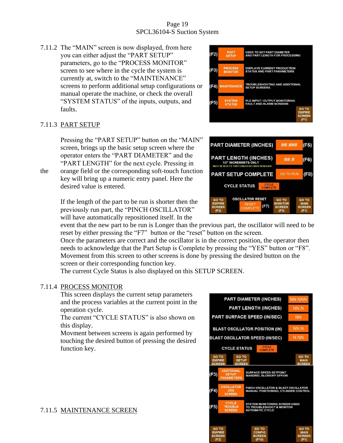# Page 19 SPCL36104-S Suction System

7.11.2 The "MAIN" screen is now displayed, from here you can either adjust the "PART SETUP" parameters, go to the "PROCESS MONITOR" screen to see where in the cycle the system is currently at, switch to the "MAINTENANCE" screens to perform additional setup configurations or manual operate the machine, or check the overall "SYSTEM STATUS" of the inputs, outputs, and faults.

# 7.11.3 PART SETUP

Pressing the "PART SETUP" button on the "MAIN" screen, brings up the basic setup screen where the operator enters the "PART DIAMETER" and the "PART LENGTH" for the next cycle. Pressing in

the orange field or the corresponding soft-touch function key will bring up a numeric entry panel. Here the desired value is entered.

> If the length of the part to be run is shorter then the previously run part, the "PINCH OSCILLATOR" will have automatically repositioned itself. In the

event that the new part to be run is Longer than the previous part, the oscillator will need to be reset by either pressing the "F7" button or the "reset" button on the screen.

Once the parameters are correct and the oscillator is in the correct position, the operator then needs to acknowledge that the Part Setup is Complete by pressing the "YES" button or "F8". Movement from this screen to other screens is done by pressing the desired button on the screen or their corresponding function key.

The current Cycle Status is also displayed on this SETUP SCREEN.

# 7.11.4 PROCESS MONITOR

This screen displays the current setup parameters and the process variables at the current point in the operation cycle.

The current "CYCLE STATUS" is also shown on this display.

Movment between screens is again performed by touching the desired button of pressing the desired function key.





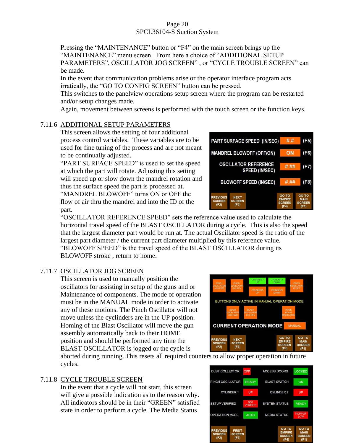# Page 20 SPCL36104-S Suction System

Pressing the "MAINTENANCE" button or "F4" on the main screen brings up the "MAINTENANCE" menu screen. From here a choice of "ADDITIONAL SETUP PARAMETERS", OSCILLATOR JOG SCREEN" , or "CYCLE TROUBLE SCREEN" can be made.

In the event that communication problems arise or the operator interface program acts irratically, the "GO TO CONFIG SCREEN" button can be pressed.

This switches to the panelview operations setup screen where the program can be restarted and/or setup changes made.

Again, movement between screens is performed with the touch screen or the function keys.

# 7.11.6 ADDITIONAL SETUP PARAMETERS

This screen allows the setting of four additional process control variables. These variables are to be used for fine tuning of the process and are not meant to be continually adjusted.

"PART SURFACE SPEED" is used to set the speed at which the part will rotate. Adjusting this setting will speed up or slow down the mandrel rotation and thus the surface speed the part is processed at.

"MANDREL BLOWOFF" turns ON or OFF the flow of air thru the mandrel and into the ID of the part.

"OSCILLATOR REFERENCE SPEED" sets the reference value used to calculate the horizontal travel speed of the BLAST OSCILLATOR during a cycle. This is also the speed that the largest diameter part would be run at. The actual Oscillator speed is the ratio of the largest part diameter / the current part diameter multiplied by this reference value. "BLOWOFF SPEED" is the travel speed of the BLAST OSCILLATOR during its BLOWOFF stroke , return to home.

# 7.11.7 OSCILLATOR JOG SCREEN

This screen is used to manually position the oscillators for assisting in setup of the guns and or Maintenance of components. The mode of operation must be in the MANUAL mode in order to activate any of these motions. The Pinch Oscillator will not move unless the cyclinders are in the UP position. Homing of the Blast Oscillator will move the gun assembly automatically back to their HOME position and should be performed any time the BLAST OSCILLATOR is jogged or the cycle is

BUTTONS ONLY ACTIVE IN MANUAL OPERATION MODE **CURRENT OPERATION MODE** REVIOUS **NEXT SCREEN SCREE**  $(F2)$  $(F3)$ 

aborted during running. This resets all required counters to allow proper operation in future cycles.

# 7.11.8 CYCLE TROUBLE SCREEN

In the event that a cycle will not start, this screen will give a possible indication as to the reason why. All indicators should be in their "GREEN" satisfied state in order to perform a cycle. The Media Status



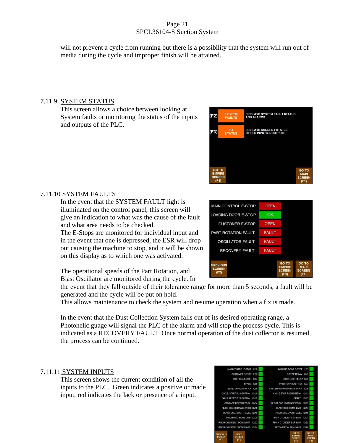# Page 21 SPCL36104-S Suction System

will not prevent a cycle from running but there is a possibility that the system will run out of media during the cycle and improper finish will be attained.

# 7.11.9 SYSTEM STATUS

This screen allows a choice between looking at System faults or monitoring the status of the inputs and outputs of the PLC.





7.11.10 SYSTEM FAULTS

In the event that the SYSTEM FAULT light is illuminated on the control panel, this screen will give an indication to what was the cause of the fault and what area needs to be checked.

The E-Stops are monitored for individual input and in the event that one is depressed, the ESR will drop out causing the machine to stop, and it will be shown on this display as to which one was activated.

The operational speeds of the Part Rotation, and Blast Oscillator are monitored during the cycle. In

the event that they fall outside of their tolerance range for more than 5 seconds, a fault will be generated and the cycle will be put on hold.

This allows maintenance to check the system and resume operation when a fix is made.

In the event that the Dust Collection System falls out of its desired operating range, a Photohelic guage will signal the PLC of the alarm and will stop the process cycle. This is indicated as a RECOVERY FAULT. Once normal operation of the dust collector is resumed, the process can be continued.

# 7.11.11 SYSTEM INPUTS

This screen shows the current condition of all the inputs to the PLC. Green indicates a positive or made input, red indicates the lack or presence of a input.

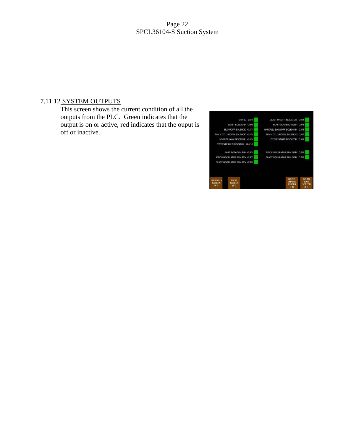### Page 22 SPCL36104-S Suction System

# 7.11.12 SYSTEM OUTPUTS

This screen shows the current condition of all the outputs from the PLC. Green indicates that the output is on or active, red indicates that the ouput is off or inactive.

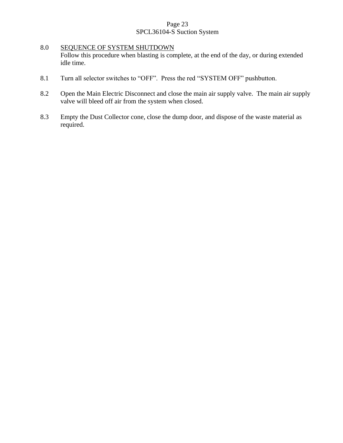# Page 23 SPCL36104-S Suction System

# 8.0 SEQUENCE OF SYSTEM SHUTDOWN Follow this procedure when blasting is complete, at the end of the day, or during extended idle time.

- 8.1 Turn all selector switches to "OFF". Press the red "SYSTEM OFF" pushbutton.
- 8.2 Open the Main Electric Disconnect and close the main air supply valve. The main air supply valve will bleed off air from the system when closed.
- 8.3 Empty the Dust Collector cone, close the dump door, and dispose of the waste material as required.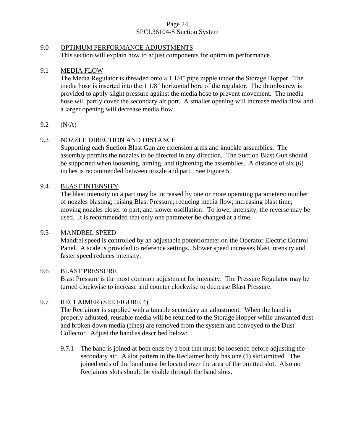# Page 24 SPCL36104-S Suction System

# 9.0 OPTIMUM PERFORMANCE ADJUSTMENTS

This section will explain how to adjust components for optimum performance.

# 9.1 MEDIA FLOW

The Media Regulator is threaded onto a 1 1/4" pipe nipple under the Storage Hopper. The media hose is inserted into the 1 1/8" horizontal bore of the regulator. The thumbscrew is provided to apply slight pressure against the media hose to prevent movement. The media hose will partly cover the secondary air port. A smaller opening will increase media flow and a larger opening will decrease media flow.

# 9.2 (N/A)

# 9.3 NOZZLE DIRECTION AND DISTANCE

Supporting each Suction Blast Gun are extension arms and knuckle assemblies. The assembly permits the nozzles to be directed in any direction. The Suction Blast Gun should be supported when loosening, aiming, and tightening the assemblies. A distance of six (6) inches is recommended between nozzle and part. See Figure 5.

# 9.4 BLAST INTENSITY

The blast intensity on a part may be increased by one or more operating parameters: number of nozzles blasting; raising Blast Pressure; reducing media flow; increasing blast time; moving nozzles closer to part; and slower oscillation. To lower intensity, the reverse may be used. It is recommended that only one parameter be changed at a time.

# 9.5 MANDREL SPEED

Mandrel speed is controlled by an adjustable potentiometer on the Operator Electric Control Panel. A scale is provided to reference settings. Slower speed increases blast intensity and faster speed reduces intensity.

# 9.6 BLAST PRESSURE

Blast Pressure is the most common adjustment for intensity. The Pressure Regulator may be turned clockwise to increase and counter clockwise to decrease Blast Pressure.

# 9.7 RECLAIMER (SEE FIGURE 4)

The Reclaimer is supplied with a tunable secondary air adjustment. When the band is properly adjusted, reusable media will be returned to the Storage Hopper while unwanted dust and broken down media (fines) are removed from the system and conveyed to the Dust Collector. Adjust the band as described below:

9.7.1 The band is joined at both ends by a bolt that must be loosened before adjusting the secondary air. A slot pattern in the Reclaimer body has one (1) slot omitted. The joined ends of the band must be located over the area of the omitted slot. Also no Reclaimer slots should be visible through the band slots.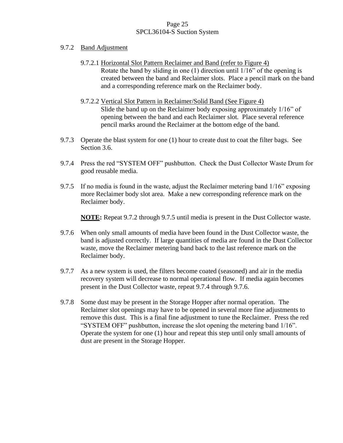# Page 25 SPCL36104-S Suction System

- 9.7.2 Band Adjustment
	- 9.7.2.1 Horizontal Slot Pattern Reclaimer and Band (refer to Figure 4) Rotate the band by sliding in one (1) direction until 1/16" of the opening is created between the band and Reclaimer slots. Place a pencil mark on the band and a corresponding reference mark on the Reclaimer body.
	- 9.7.2.2 Vertical Slot Pattern in Reclaimer/Solid Band (See Figure 4) Slide the band up on the Reclaimer body exposing approximately 1/16" of opening between the band and each Reclaimer slot. Place several reference pencil marks around the Reclaimer at the bottom edge of the band.
- 9.7.3 Operate the blast system for one (1) hour to create dust to coat the filter bags. See Section 3.6.
- 9.7.4 Press the red "SYSTEM OFF" pushbutton. Check the Dust Collector Waste Drum for good reusable media.
- 9.7.5 If no media is found in the waste, adjust the Reclaimer metering band 1/16" exposing more Reclaimer body slot area. Make a new corresponding reference mark on the Reclaimer body.

**NOTE:** Repeat 9.7.2 through 9.7.5 until media is present in the Dust Collector waste.

- 9.7.6 When only small amounts of media have been found in the Dust Collector waste, the band is adjusted correctly. If large quantities of media are found in the Dust Collector waste, move the Reclaimer metering band back to the last reference mark on the Reclaimer body.
- 9.7.7 As a new system is used, the filters become coated (seasoned) and air in the media recovery system will decrease to normal operational flow. If media again becomes present in the Dust Collector waste, repeat 9.7.4 through 9.7.6.
- 9.7.8 Some dust may be present in the Storage Hopper after normal operation. The Reclaimer slot openings may have to be opened in several more fine adjustments to remove this dust. This is a final fine adjustment to tune the Reclaimer. Press the red "SYSTEM OFF" pushbutton, increase the slot opening the metering band 1/16". Operate the system for one (1) hour and repeat this step until only small amounts of dust are present in the Storage Hopper.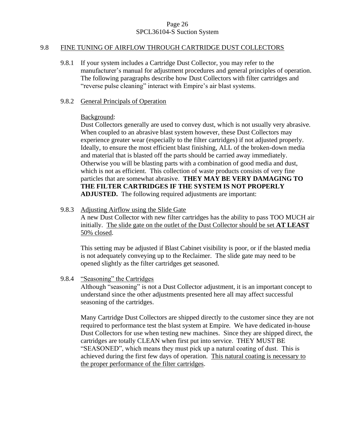### Page 26 SPCL36104-S Suction System

### 9.8 FINE TUNING OF AIRFLOW THROUGH CARTRIDGE DUST COLLECTORS

9.8.1 If your system includes a Cartridge Dust Collector, you may refer to the manufacturer's manual for adjustment procedures and general principles of operation. The following paragraphs describe how Dust Collectors with filter cartridges and "reverse pulse cleaning" interact with Empire's air blast systems.

### 9.8.2 General Principals of Operation

### Background:

Dust Collectors generally are used to convey dust, which is not usually very abrasive. When coupled to an abrasive blast system however, these Dust Collectors may experience greater wear (especially to the filter cartridges) if not adjusted properly. Ideally, to ensure the most efficient blast finishing, ALL of the broken-down media and material that is blasted off the parts should be carried away immediately. Otherwise you will be blasting parts with a combination of good media and dust, which is not as efficient. This collection of waste products consists of very fine particles that are somewhat abrasive. **THEY MAY BE VERY DAMAGING TO THE FILTER CARTRIDGES IF THE SYSTEM IS NOT PROPERLY ADJUSTED.** The following required adjustments are important:

# 9.8.3 Adjusting Airflow using the Slide Gate

A new Dust Collector with new filter cartridges has the ability to pass TOO MUCH air initially. The slide gate on the outlet of the Dust Collector should be set **AT LEAST** 50% closed.

This setting may be adjusted if Blast Cabinet visibility is poor, or if the blasted media is not adequately conveying up to the Reclaimer. The slide gate may need to be opened slightly as the filter cartridges get seasoned.

9.8.4 "Seasoning" the Cartridges

Although "seasoning" is not a Dust Collector adjustment, it is an important concept to understand since the other adjustments presented here all may affect successful seasoning of the cartridges.

Many Cartridge Dust Collectors are shipped directly to the customer since they are not required to performance test the blast system at Empire. We have dedicated in-house Dust Collectors for use when testing new machines. Since they are shipped direct, the cartridges are totally CLEAN when first put into service. THEY MUST BE "SEASONED", which means they must pick up a natural coating of dust. This is achieved during the first few days of operation. This natural coating is necessary to the proper performance of the filter cartridges.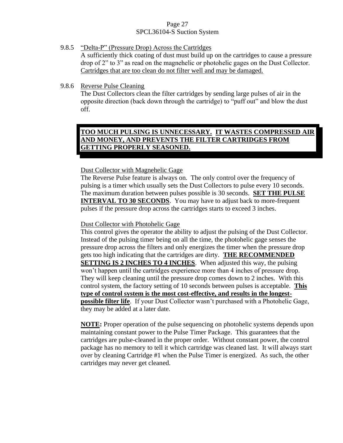# Page 27 SPCL36104-S Suction System

# 9.8.5 "Delta-P" (Pressure Drop) Across the Cartridges

A sufficiently thick coating of dust must build up on the cartridges to cause a pressure drop of 2" to 3" as read on the magnehelic or photohelic gages on the Dust Collector. Cartridges that are too clean do not filter well and may be damaged.

# 9.8.6 Reverse Pulse Cleaning

The Dust Collectors clean the filter cartridges by sending large pulses of air in the opposite direction (back down through the cartridge) to "puff out" and blow the dust off.

# **TOO MUCH PULSING IS UNNECESSARY. IT WASTES COMPRESSED AIR AND MONEY, AND PREVENTS THE FILTER CARTRIDGES FROM GETTING PROPERLY SEASONED.**

# Dust Collector with Magnehelic Gage

The Reverse Pulse feature is always on. The only control over the frequency of pulsing is a timer which usually sets the Dust Collectors to pulse every 10 seconds. The maximum duration between pulses possible is 30 seconds. **SET THE PULSE INTERVAL TO 30 SECONDS**. You may have to adjust back to more-frequent pulses if the pressure drop across the cartridges starts to exceed 3 inches.

# Dust Collector with Photohelic Gage

This control gives the operator the ability to adjust the pulsing of the Dust Collector. Instead of the pulsing timer being on all the time, the photohelic gage senses the pressure drop across the filters and only energizes the timer when the pressure drop gets too high indicating that the cartridges are dirty. **THE RECOMMENDED SETTING IS 2 INCHES TO 4 INCHES**. When adjusted this way, the pulsing won't happen until the cartridges experience more than 4 inches of pressure drop. They will keep cleaning until the pressure drop comes down to 2 inches. With this control system, the factory setting of 10 seconds between pulses is acceptable. **This type of control system is the most cost-effective, and results in the longestpossible filter life**. If your Dust Collector wasn't purchased with a Photohelic Gage, they may be added at a later date.

**NOTE:** Proper operation of the pulse sequencing on photohelic systems depends upon maintaining constant power to the Pulse Timer Package. This guarantees that the cartridges are pulse-cleaned in the proper order. Without constant power, the control package has no memory to tell it which cartridge was cleaned last. It will always start over by cleaning Cartridge #1 when the Pulse Timer is energized. As such, the other cartridges may never get cleaned.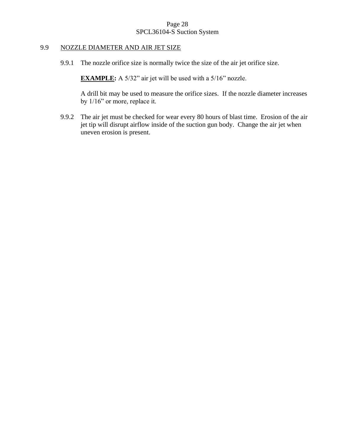# Page 28 SPCL36104-S Suction System

# 9.9 NOZZLE DIAMETER AND AIR JET SIZE

9.9.1 The nozzle orifice size is normally twice the size of the air jet orifice size.

**EXAMPLE:** A 5/32" air jet will be used with a 5/16" nozzle.

A drill bit may be used to measure the orifice sizes. If the nozzle diameter increases by 1/16" or more, replace it.

9.9.2 The air jet must be checked for wear every 80 hours of blast time. Erosion of the air jet tip will disrupt airflow inside of the suction gun body. Change the air jet when uneven erosion is present.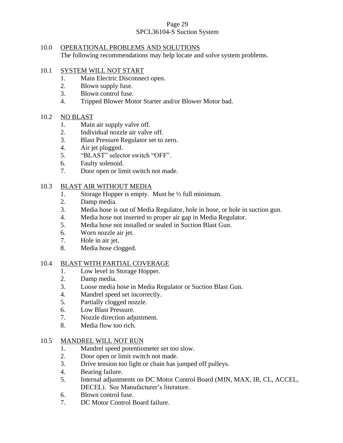# Page 29 SPCL36104-S Suction System

# 10.0 OPERATIONAL PROBLEMS AND SOLUTIONS The following recommendations may help locate and solve system problems.

# 10.1 SYSTEM WILL NOT START

- 1. Main Electric Disconnect open.
- 2. Blown supply fuse.
- 3. Blown control fuse.
- 4. Tripped Blower Motor Starter and/or Blower Motor bad.

# 10.2 NO BLAST

- 1. Main air supply valve off.
- 2. Individual nozzle air valve off.
- 3. Blast Pressure Regulator set to zero.
- 4. Air jet plugged.
- 5. "BLAST" selector switch "OFF".
- 6. Faulty solenoid.
- 7. Door open or limit switch not made.

# 10.3 BLAST AIR WITHOUT MEDIA

- 1. Storage Hopper is empty. Must be ½ full minimum.
- 2. Damp media.
- 3. Media hose is out of Media Regulator, hole in hose, or hole in suction gun.
- 4. Media hose not inserted to proper air gap in Media Regulator.
- 5. Media hose not installed or sealed in Suction Blast Gun.
- 6. Worn nozzle air jet.
- 7. Hole in air jet.
- 8. Media hose clogged.

# 10.4 BLAST WITH PARTIAL COVERAGE

- 1. Low level in Storage Hopper.
- 2. Damp media.
- 3. Loose media hose in Media Regulator or Suction Blast Gun.
- 4. Mandrel speed set incorrectly.
- 5. Partially clogged nozzle.
- 6. Low Blast Pressure.
- 7. Nozzle direction adjustment.
- 8. Media flow too rich.

# 10.5 MANDREL WILL NOT RUN

- 1. Mandrel speed potentiometer set too slow.
- 2. Door open or limit switch not made.
- 3. Drive tension too light or chain has jumped off pulleys.
- 4. Bearing failure.
- 5. Internal adjustments on DC Motor Control Board (MIN, MAX, IR, CL, ACCEL, DECEL). See Manufacturer's literature.
- 6. Blown control fuse.
- 7. DC Motor Control Board failure.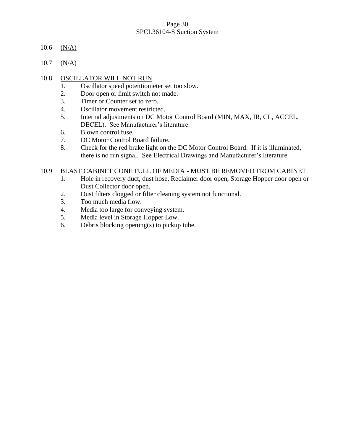# Page 30 SPCL36104-S Suction System

- 10.6  $(N/A)$
- 10.7  $(N/A)$

# 10.8 OSCILLATOR WILL NOT RUN

- 1. Oscillator speed potentiometer set too slow.
- 2. Door open or limit switch not made.
- 3. Timer or Counter set to zero.
- 4. Oscillator movement restricted.
- 5. Internal adjustments on DC Motor Control Board (MIN, MAX, IR, CL, ACCEL, DECEL). See Manufacturer's literature.
- 6. Blown control fuse.
- 7. DC Motor Control Board failure.
- 8. Check for the red brake light on the DC Motor Control Board. If it is illuminated, there is no run signal. See Electrical Drawings and Manufacturer's literature.

# 10.9 BLAST CABINET CONE FULL OF MEDIA - MUST BE REMOVED FROM CABINET

- 1. Hole in recovery duct, dust hose, Reclaimer door open, Storage Hopper door open or Dust Collector door open.
- 2. Dust filters clogged or filter cleaning system not functional.
- 3. Too much media flow.
- 4. Media too large for conveying system.
- 5. Media level in Storage Hopper Low.
- 6. Debris blocking opening(s) to pickup tube.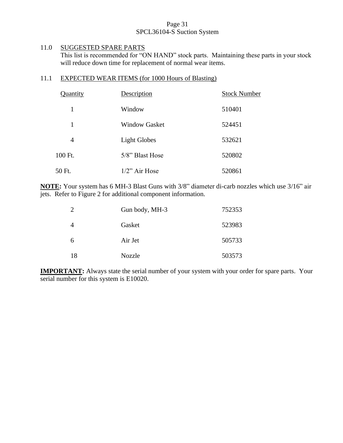# Page 31 SPCL36104-S Suction System

# 11.0 SUGGESTED SPARE PARTS

This list is recommended for "ON HAND" stock parts. Maintaining these parts in your stock will reduce down time for replacement of normal wear items.

# 11.1 EXPECTED WEAR ITEMS (for 1000 Hours of Blasting)

| Quantity | Description          | <b>Stock Number</b> |
|----------|----------------------|---------------------|
| 1        | Window               | 510401              |
| 1        | <b>Window Gasket</b> | 524451              |
| 4        | <b>Light Globes</b>  | 532621              |
| 100 Ft.  | 5/8" Blast Hose      | 520802              |
| 50 Ft.   | $1/2$ " Air Hose     | 520861              |

**NOTE:** Your system has 6 MH-3 Blast Guns with 3/8" diameter di-carb nozzles which use 3/16" air jets. Refer to Figure 2 for additional component information.

|    | Gun body, MH-3 | 752353 |
|----|----------------|--------|
|    | Gasket         | 523983 |
| 6  | Air Jet        | 505733 |
| 18 | Nozzle         | 503573 |

**IMPORTANT:** Always state the serial number of your system with your order for spare parts. Your serial number for this system is E10020.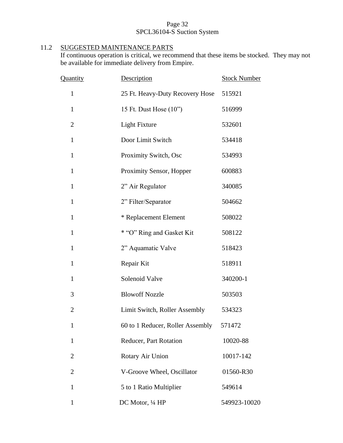# Page 32 SPCL36104-S Suction System

# 11.2 SUGGESTED MAINTENANCE PARTS

If continuous operation is critical, we recommend that these items be stocked. They may not be available for immediate delivery from Empire.

| Quantity       | Description                      | <b>Stock Number</b> |
|----------------|----------------------------------|---------------------|
| $\mathbf{1}$   | 25 Ft. Heavy-Duty Recovery Hose  | 515921              |
| $\mathbf{1}$   | 15 Ft. Dust Hose (10")           | 516999              |
| $\overline{c}$ | <b>Light Fixture</b>             | 532601              |
| $\mathbf{1}$   | Door Limit Switch                | 534418              |
| $\mathbf{1}$   | Proximity Switch, Osc            | 534993              |
| $\mathbf{1}$   | Proximity Sensor, Hopper         | 600883              |
| $\mathbf{1}$   | 2" Air Regulator                 | 340085              |
| $\mathbf{1}$   | 2" Filter/Separator              | 504662              |
| $\mathbf{1}$   | * Replacement Element            | 508022              |
| 1              | * "O" Ring and Gasket Kit        | 508122              |
| $\mathbf{1}$   | 2" Aquamatic Valve               | 518423              |
| $\mathbf{1}$   | Repair Kit                       | 518911              |
| $\mathbf{1}$   | Solenoid Valve                   | 340200-1            |
| 3              | <b>Blowoff Nozzle</b>            | 503503              |
| $\overline{2}$ | Limit Switch, Roller Assembly    | 534323              |
| 1              | 60 to 1 Reducer, Roller Assembly | 571472              |
| $\mathbf{1}$   | Reducer, Part Rotation           | 10020-88            |
| $\overline{2}$ | Rotary Air Union                 | 10017-142           |
| $\overline{2}$ | V-Groove Wheel, Oscillator       | 01560-R30           |
| $\mathbf{1}$   | 5 to 1 Ratio Multiplier          | 549614              |
| 1              | DC Motor, 1/4 HP                 | 549923-10020        |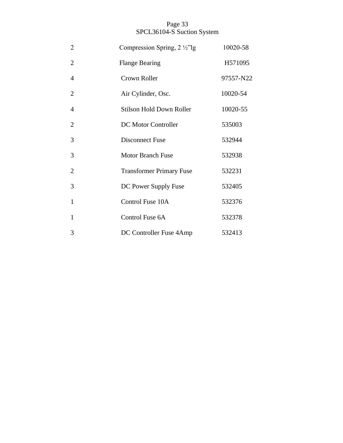# Page 33 SPCL36104-S Suction System

| $\overline{2}$ | Compression Spring, $2 \frac{1}{2}$ "lg | 10020-58  |
|----------------|-----------------------------------------|-----------|
| $\overline{2}$ | <b>Flange Bearing</b>                   | H571095   |
| $\overline{4}$ | Crown Roller                            | 97557-N22 |
| $\overline{2}$ | Air Cylinder, Osc.                      | 10020-54  |
| $\overline{4}$ | <b>Stilson Hold Down Roller</b>         | 10020-55  |
| $\overline{2}$ | DC Motor Controller                     | 535003    |
| 3              | Disconnect Fuse                         | 532944    |
| 3              | <b>Motor Branch Fuse</b>                | 532938    |
| $\overline{2}$ | <b>Transformer Primary Fuse</b>         | 532231    |
| 3              | DC Power Supply Fuse                    | 532405    |
| 1              | Control Fuse 10A                        | 532376    |
| $\mathbf{1}$   | Control Fuse 6A                         | 532378    |
| 3              | DC Controller Fuse 4Amp                 | 532413    |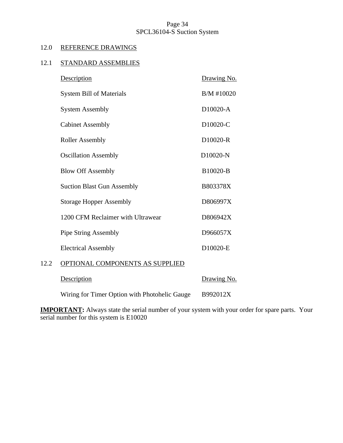# Page 34 SPCL36104-S Suction System

# 12.0 REFERENCE DRAWINGS

# 12.1 STANDARD ASSEMBLIES

|      | <b>Description</b>                | Drawing No.           |
|------|-----------------------------------|-----------------------|
|      | <b>System Bill of Materials</b>   | B/M #10020            |
|      | <b>System Assembly</b>            | D10020-A              |
|      | <b>Cabinet Assembly</b>           | D10020-C              |
|      | <b>Roller Assembly</b>            | D <sub>10020</sub> -R |
|      | <b>Oscillation Assembly</b>       | D10020-N              |
|      | <b>Blow Off Assembly</b>          | B10020-B              |
|      | <b>Suction Blast Gun Assembly</b> | B803378X              |
|      | <b>Storage Hopper Assembly</b>    | D806997X              |
|      | 1200 CFM Reclaimer with Ultrawear | D806942X              |
|      | <b>Pipe String Assembly</b>       | D966057X              |
|      | <b>Electrical Assembly</b>        | D10020-E              |
| 12.2 | OPTIONAL COMPONENTS AS SUPPLIED   |                       |
|      |                                   |                       |

Description Drawing No. Wiring for Timer Option with Photohelic Gauge B992012X

**IMPORTANT:** Always state the serial number of your system with your order for spare parts. Your serial number for this system is E10020